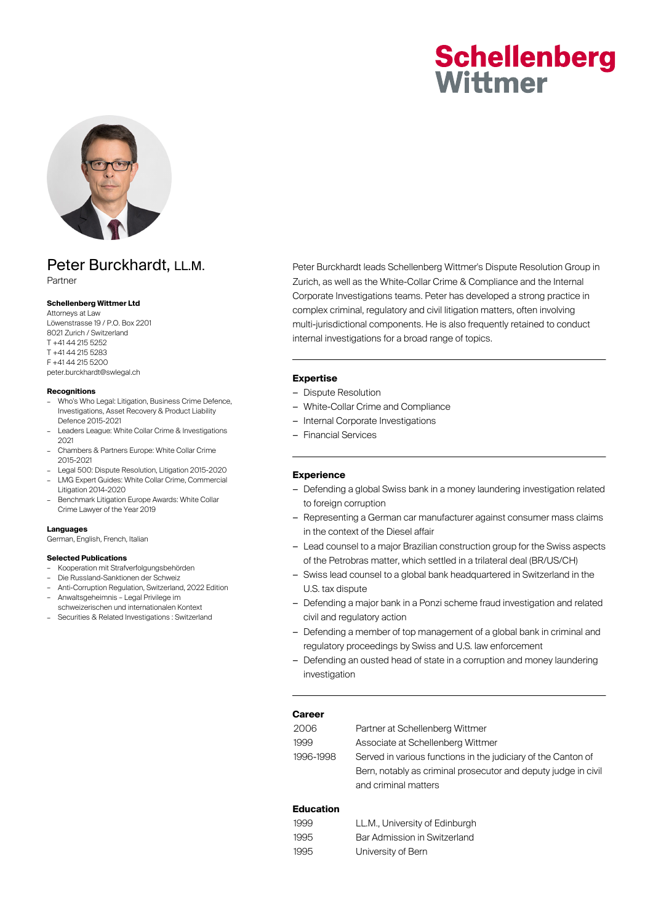# **Schellenberg** Wittmer



# Peter Burckhardt, LL.M.

Partner

### **Schellenberg Wittmer Ltd**

Attorneys at Law Löwenstrasse 19 / P.O. Box 2201 8021 Zurich / Switzerland T +41 44 215 5252 T +41 44 215 5283 F +41 44 215 5200 peter.burckhardt@swlegal.ch

#### **Recognitions**

- Who's Who Legal: Litigation, Business Crime Defence, Investigations, Asset Recovery & Product Liability Defence 2015-2021
- Leaders League: White Collar Crime & Investigations 2021
- Chambers & Partners Europe: White Collar Crime 2015-2021
- Legal 500: Dispute Resolution, Litigation 2015-2020 – LMG Expert Guides: White Collar Crime, Commercial Litigation 2014-2020
- Benchmark Litigation Europe Awards: White Collar Crime Lawyer of the Year 2019

#### **Languages**

German, English, French, Italian

## **Selected Publications**

- Kooperation mit Strafverfolgungsbehörden
- Die Russland-Sanktionen der Schweiz
- Anti-Corruption Regulation, Switzerland, 2022 Edition – Anwaltsgeheimnis – Legal Privilege im
- schweizerischen und internationalen Kontext
- Securities & Related Investigations : Switzerland

Peter Burckhardt leads Schellenberg Wittmer's Dispute Resolution Group in Zurich, as well as the White-Collar Crime & Compliance and the Internal Corporate Investigations teams. Peter has developed a strong practice in complex criminal, regulatory and civil litigation matters, often involving multi-jurisdictional components. He is also frequently retained to conduct internal investigations for a broad range of topics.

# **Expertise**

- Dispute Resolution
- White-Collar Crime and Compliance
- Internal Corporate Investigations
- Financial Services

# **Experience**

- Defending a global Swiss bank in a money laundering investigation related to foreign corruption
- Representing a German car manufacturer against consumer mass claims in the context of the Diesel affair
- Lead counsel to a major Brazilian construction group for the Swiss aspects of the Petrobras matter, which settled in a trilateral deal (BR/US/CH)
- Swiss lead counsel to a global bank headquartered in Switzerland in the U.S. tax dispute
- Defending a major bank in a Ponzi scheme fraud investigation and related civil and regulatory action
- Defending a member of top management of a global bank in criminal and regulatory proceedings by Swiss and U.S. law enforcement
- Defending an ousted head of state in a corruption and money laundering investigation

### **Career**

| 2006      | Partner at Schellenberg Wittmer                                |
|-----------|----------------------------------------------------------------|
| 1999      | Associate at Schellenberg Wittmer                              |
| 1996-1998 | Served in various functions in the judiciary of the Canton of  |
|           | Bern, notably as criminal prosecutor and deputy judge in civil |
|           | and criminal matters                                           |
|           |                                                                |

# **Education**

| 1999 | LL.M., University of Edinburgh |
|------|--------------------------------|
| 1995 | Bar Admission in Switzerland   |
| 1995 | University of Bern             |